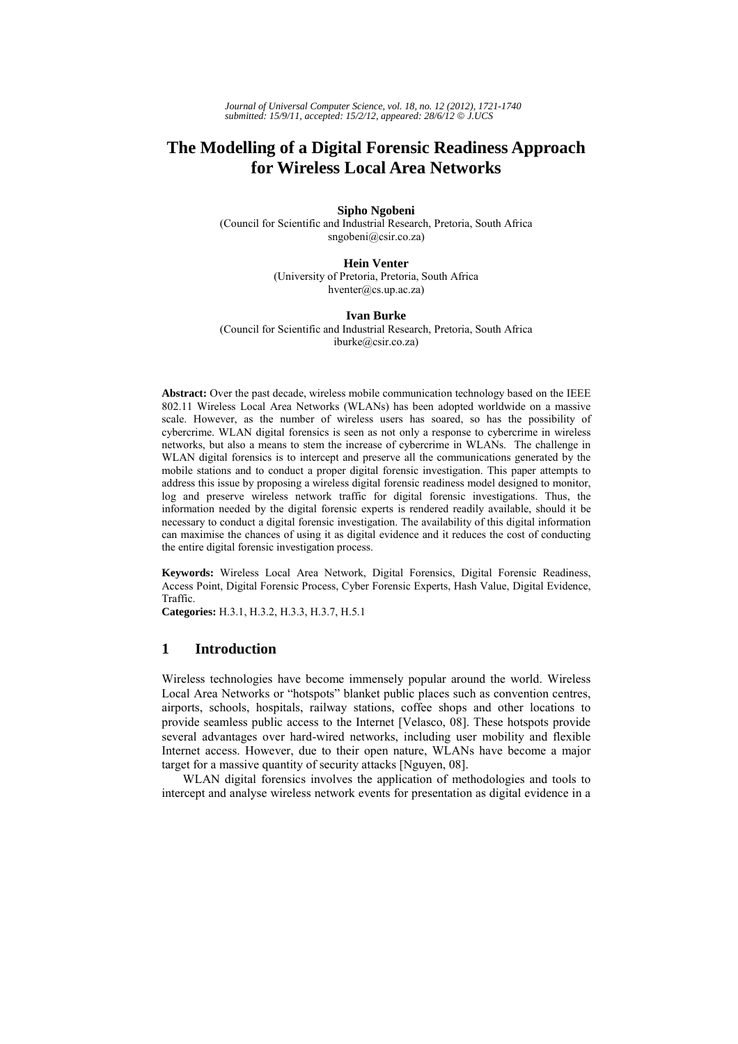# **The Modelling of a Digital Forensic Readiness Approach for Wireless Local Area Networks**

#### **Sipho Ngobeni**

(Council for Scientific and Industrial Research, Pretoria, South Africa sngobeni@csir.co.za)

> **Hein Venter** (University of Pretoria, Pretoria, South Africa hventer@cs.up.ac.za)

#### **Ivan Burke**

(Council for Scientific and Industrial Research, Pretoria, South Africa iburke@csir.co.za)

**Abstract:** Over the past decade, wireless mobile communication technology based on the IEEE 802.11 Wireless Local Area Networks (WLANs) has been adopted worldwide on a massive scale. However, as the number of wireless users has soared, so has the possibility of cybercrime. WLAN digital forensics is seen as not only a response to cybercrime in wireless networks, but also a means to stem the increase of cybercrime in WLANs. The challenge in WLAN digital forensics is to intercept and preserve all the communications generated by the mobile stations and to conduct a proper digital forensic investigation. This paper attempts to address this issue by proposing a wireless digital forensic readiness model designed to monitor, log and preserve wireless network traffic for digital forensic investigations. Thus, the information needed by the digital forensic experts is rendered readily available, should it be necessary to conduct a digital forensic investigation. The availability of this digital information can maximise the chances of using it as digital evidence and it reduces the cost of conducting the entire digital forensic investigation process.

**Keywords:** Wireless Local Area Network, Digital Forensics, Digital Forensic Readiness, Access Point, Digital Forensic Process, Cyber Forensic Experts, Hash Value, Digital Evidence, Traffic.

**Categories:** H.3.1, H.3.2, H.3.3, H.3.7, H.5.1

## **1 Introduction**

Wireless technologies have become immensely popular around the world. Wireless Local Area Networks or "hotspots" blanket public places such as convention centres, airports, schools, hospitals, railway stations, coffee shops and other locations to provide seamless public access to the Internet [Velasco, 08]. These hotspots provide several advantages over hard-wired networks, including user mobility and flexible Internet access. However, due to their open nature, WLANs have become a major target for a massive quantity of security attacks [Nguyen, 08].

WLAN digital forensics involves the application of methodologies and tools to intercept and analyse wireless network events for presentation as digital evidence in a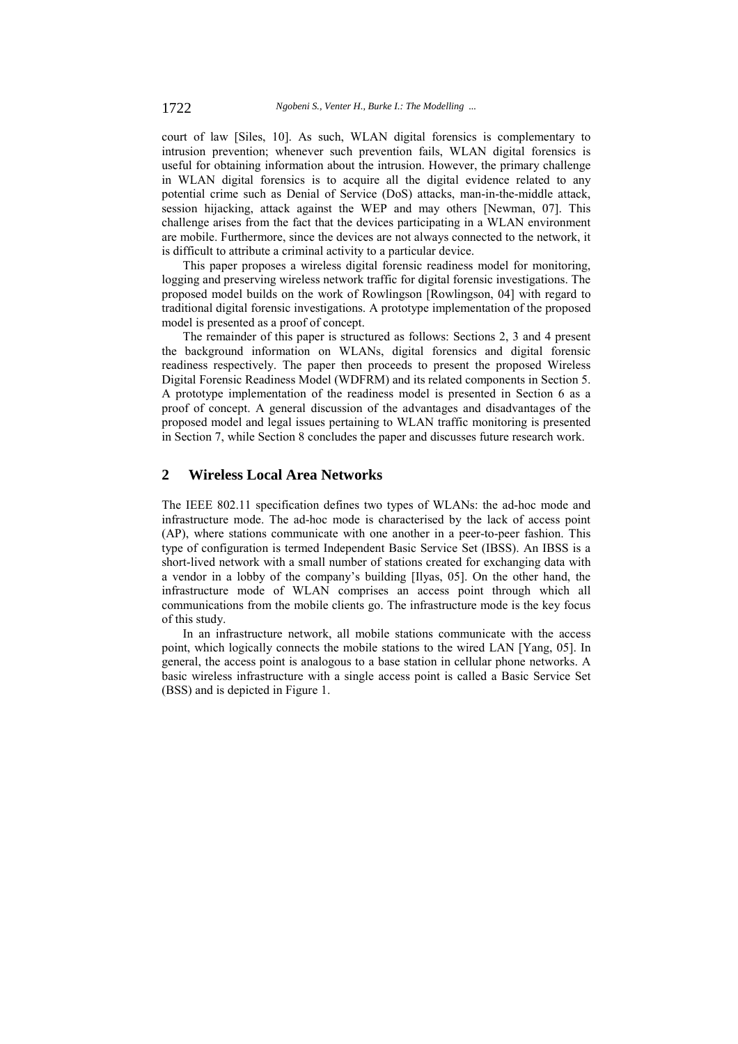court of law [Siles, 10]. As such, WLAN digital forensics is complementary to intrusion prevention; whenever such prevention fails, WLAN digital forensics is useful for obtaining information about the intrusion. However, the primary challenge in WLAN digital forensics is to acquire all the digital evidence related to any potential crime such as Denial of Service (DoS) attacks, man-in-the-middle attack, session hijacking, attack against the WEP and may others [Newman, 07]. This challenge arises from the fact that the devices participating in a WLAN environment are mobile. Furthermore, since the devices are not always connected to the network, it is difficult to attribute a criminal activity to a particular device.

This paper proposes a wireless digital forensic readiness model for monitoring, logging and preserving wireless network traffic for digital forensic investigations. The proposed model builds on the work of Rowlingson [Rowlingson, 04] with regard to traditional digital forensic investigations. A prototype implementation of the proposed model is presented as a proof of concept.

The remainder of this paper is structured as follows: Sections 2, 3 and 4 present the background information on WLANs, digital forensics and digital forensic readiness respectively. The paper then proceeds to present the proposed Wireless Digital Forensic Readiness Model (WDFRM) and its related components in Section 5. A prototype implementation of the readiness model is presented in Section 6 as a proof of concept. A general discussion of the advantages and disadvantages of the proposed model and legal issues pertaining to WLAN traffic monitoring is presented in Section 7, while Section 8 concludes the paper and discusses future research work.

# **2 Wireless Local Area Networks**

The IEEE 802.11 specification defines two types of WLANs: the ad-hoc mode and infrastructure mode. The ad-hoc mode is characterised by the lack of access point (AP), where stations communicate with one another in a peer-to-peer fashion. This type of configuration is termed Independent Basic Service Set (IBSS). An IBSS is a short-lived network with a small number of stations created for exchanging data with a vendor in a lobby of the company's building [Ilyas, 05]. On the other hand, the infrastructure mode of WLAN comprises an access point through which all communications from the mobile clients go. The infrastructure mode is the key focus of this study.

In an infrastructure network, all mobile stations communicate with the access point, which logically connects the mobile stations to the wired LAN [Yang, 05]. In general, the access point is analogous to a base station in cellular phone networks. A basic wireless infrastructure with a single access point is called a Basic Service Set (BSS) and is depicted in Figure 1.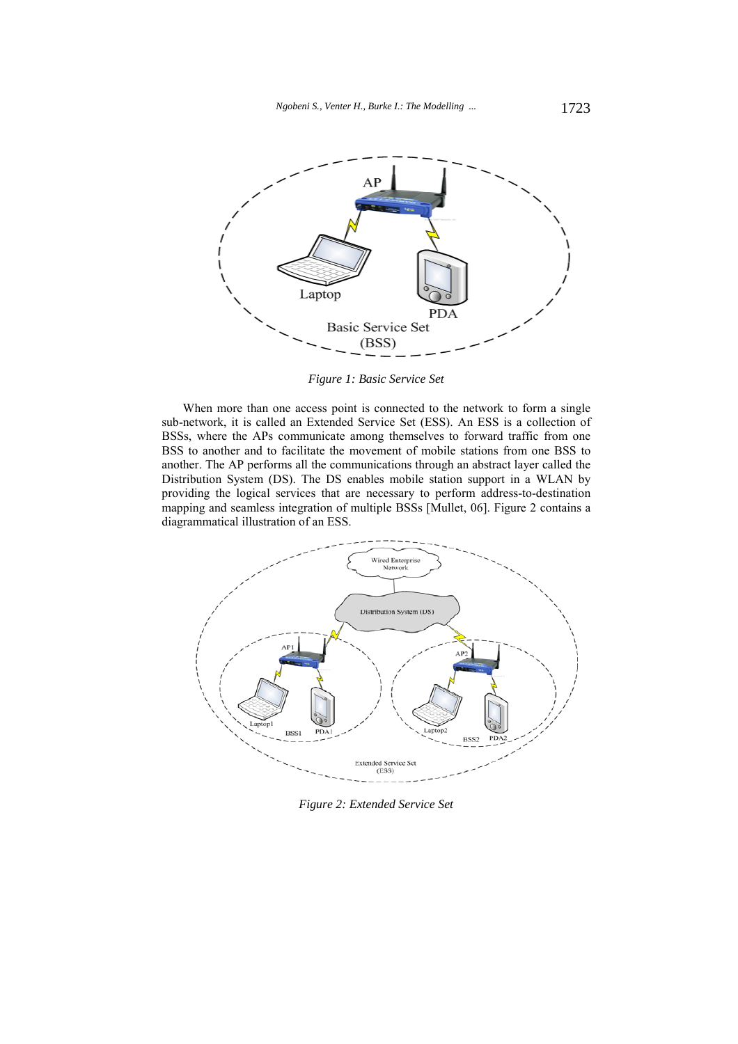

*Figure 1: Basic Service Set* 

When more than one access point is connected to the network to form a single sub-network, it is called an Extended Service Set (ESS). An ESS is a collection of BSSs, where the APs communicate among themselves to forward traffic from one BSS to another and to facilitate the movement of mobile stations from one BSS to another. The AP performs all the communications through an abstract layer called the Distribution System (DS). The DS enables mobile station support in a WLAN by providing the logical services that are necessary to perform address-to-destination mapping and seamless integration of multiple BSSs [Mullet, 06]. Figure 2 contains a diagrammatical illustration of an ESS.



*Figure 2: Extended Service Set*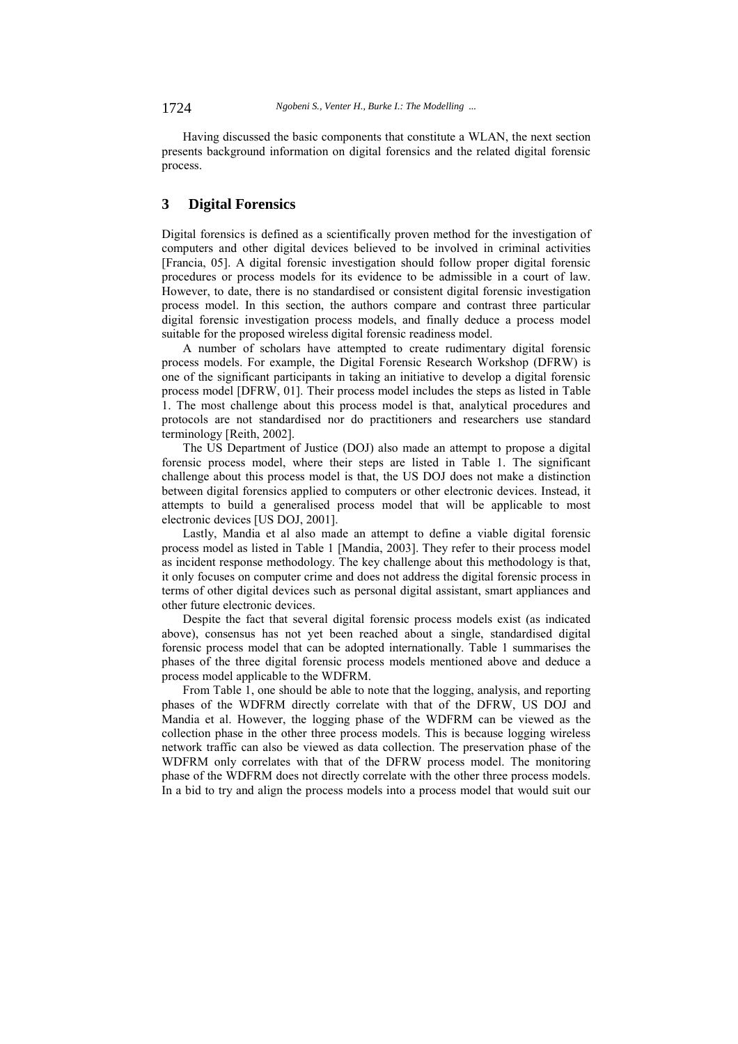Having discussed the basic components that constitute a WLAN, the next section presents background information on digital forensics and the related digital forensic process.

# **3 Digital Forensics**

Digital forensics is defined as a scientifically proven method for the investigation of computers and other digital devices believed to be involved in criminal activities [Francia, 05]. A digital forensic investigation should follow proper digital forensic procedures or process models for its evidence to be admissible in a court of law. However, to date, there is no standardised or consistent digital forensic investigation process model. In this section, the authors compare and contrast three particular digital forensic investigation process models, and finally deduce a process model suitable for the proposed wireless digital forensic readiness model.

A number of scholars have attempted to create rudimentary digital forensic process models. For example, the Digital Forensic Research Workshop (DFRW) is one of the significant participants in taking an initiative to develop a digital forensic process model [DFRW, 01]. Their process model includes the steps as listed in Table 1. The most challenge about this process model is that, analytical procedures and protocols are not standardised nor do practitioners and researchers use standard terminology [Reith, 2002].

The US Department of Justice (DOJ) also made an attempt to propose a digital forensic process model, where their steps are listed in Table 1. The significant challenge about this process model is that, the US DOJ does not make a distinction between digital forensics applied to computers or other electronic devices. Instead, it attempts to build a generalised process model that will be applicable to most electronic devices [US DOJ, 2001].

Lastly, Mandia et al also made an attempt to define a viable digital forensic process model as listed in Table 1 [Mandia, 2003]. They refer to their process model as incident response methodology. The key challenge about this methodology is that, it only focuses on computer crime and does not address the digital forensic process in terms of other digital devices such as personal digital assistant, smart appliances and other future electronic devices.

Despite the fact that several digital forensic process models exist (as indicated above), consensus has not yet been reached about a single, standardised digital forensic process model that can be adopted internationally. Table 1 summarises the phases of the three digital forensic process models mentioned above and deduce a process model applicable to the WDFRM.

From Table 1, one should be able to note that the logging, analysis, and reporting phases of the WDFRM directly correlate with that of the DFRW, US DOJ and Mandia et al. However, the logging phase of the WDFRM can be viewed as the collection phase in the other three process models. This is because logging wireless network traffic can also be viewed as data collection. The preservation phase of the WDFRM only correlates with that of the DFRW process model. The monitoring phase of the WDFRM does not directly correlate with the other three process models. In a bid to try and align the process models into a process model that would suit our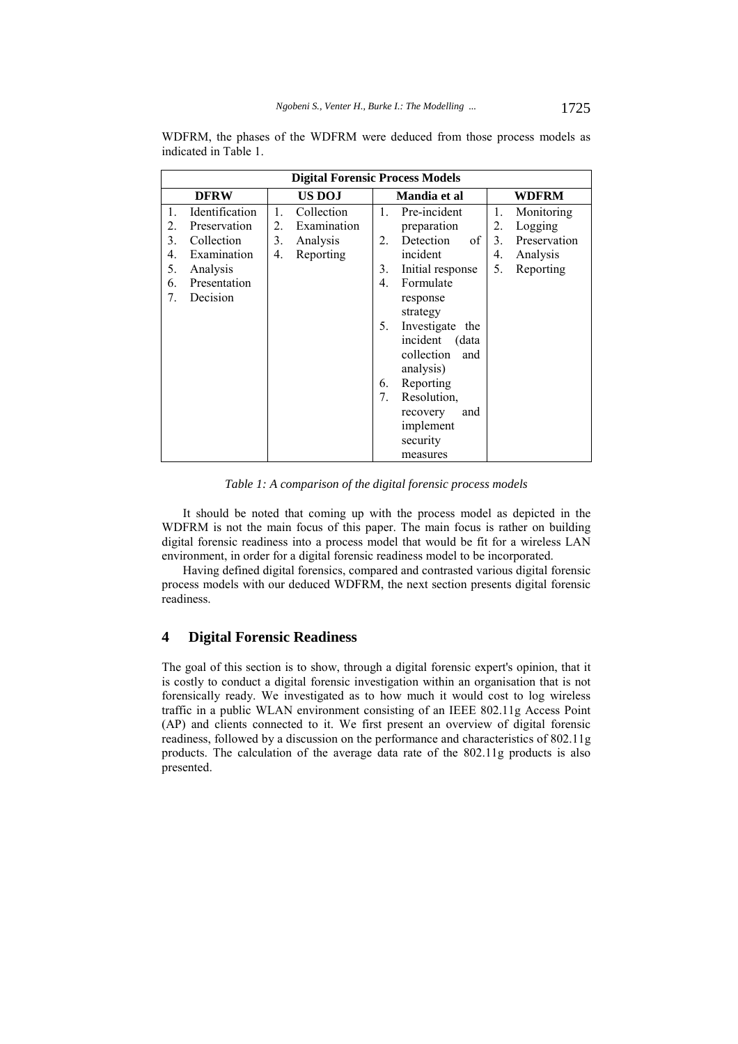|                | <b>Digital Forensic Process Models</b> |    |             |                |                    |                |              |  |  |  |  |  |
|----------------|----------------------------------------|----|-------------|----------------|--------------------|----------------|--------------|--|--|--|--|--|
|                | <b>DFRW</b>                            |    | US DOJ      |                | Mandia et al       | <b>WDFRM</b>   |              |  |  |  |  |  |
| $\mathbf{1}$ . | Identification                         | 1. | Collection  | $\mathbf{1}$ . | Pre-incident       | 1.             | Monitoring   |  |  |  |  |  |
| 2.             | Preservation                           | 2. | Examination |                | preparation        | 2.             | Logging      |  |  |  |  |  |
| 3.             | Collection                             | 3. | Analysis    | 2.             | of<br>Detection    | 3 <sub>1</sub> | Preservation |  |  |  |  |  |
| 4.             | Examination                            | 4. | Reporting   |                | incident           | 4.             | Analysis     |  |  |  |  |  |
| 5.             | Analysis                               |    |             | 3.             | Initial response   | 5.             | Reporting    |  |  |  |  |  |
| 6.             | Presentation                           |    |             | 4.             | Formulate          |                |              |  |  |  |  |  |
| 7.             | Decision                               |    |             |                | response           |                |              |  |  |  |  |  |
|                |                                        |    |             |                | strategy           |                |              |  |  |  |  |  |
|                |                                        |    |             | 5.             | Investigate<br>the |                |              |  |  |  |  |  |
|                |                                        |    |             |                | incident<br>(data  |                |              |  |  |  |  |  |
|                |                                        |    |             |                | collection<br>and  |                |              |  |  |  |  |  |
|                |                                        |    |             |                | analysis)          |                |              |  |  |  |  |  |
|                |                                        |    |             | 6.             | Reporting          |                |              |  |  |  |  |  |
|                |                                        |    |             | 7.             | Resolution,        |                |              |  |  |  |  |  |
|                |                                        |    |             |                | recovery<br>and    |                |              |  |  |  |  |  |
|                |                                        |    |             |                | implement          |                |              |  |  |  |  |  |
|                |                                        |    |             |                | security           |                |              |  |  |  |  |  |
|                |                                        |    |             |                | measures           |                |              |  |  |  |  |  |

WDFRM, the phases of the WDFRM were deduced from those process models as indicated in Table 1.

*Table 1: A comparison of the digital forensic process models* 

It should be noted that coming up with the process model as depicted in the WDFRM is not the main focus of this paper. The main focus is rather on building digital forensic readiness into a process model that would be fit for a wireless LAN environment, in order for a digital forensic readiness model to be incorporated.

Having defined digital forensics, compared and contrasted various digital forensic process models with our deduced WDFRM, the next section presents digital forensic readiness.

# **4 Digital Forensic Readiness**

The goal of this section is to show, through a digital forensic expert's opinion, that it is costly to conduct a digital forensic investigation within an organisation that is not forensically ready. We investigated as to how much it would cost to log wireless traffic in a public WLAN environment consisting of an IEEE 802.11g Access Point (AP) and clients connected to it. We first present an overview of digital forensic readiness, followed by a discussion on the performance and characteristics of 802.11g products. The calculation of the average data rate of the 802.11g products is also presented.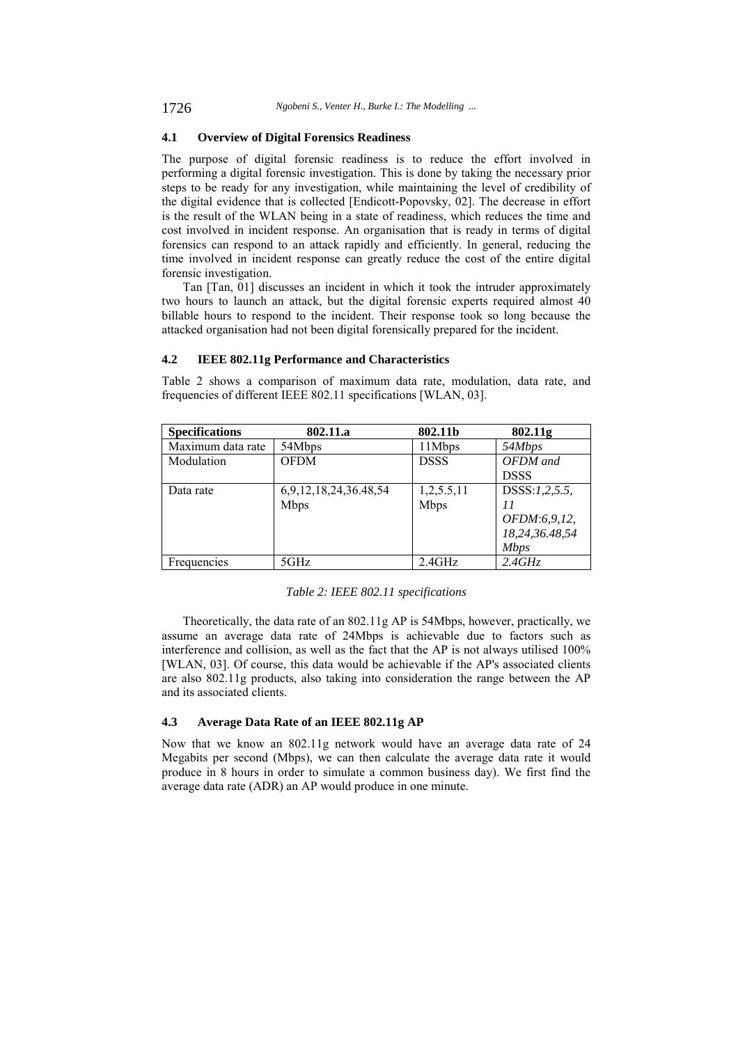## **4.1 Overview of Digital Forensics Readiness**

The purpose of digital forensic readiness is to reduce the effort involved in performing a digital forensic investigation. This is done by taking the necessary prior steps to be ready for any investigation, while maintaining the level of credibility of the digital evidence that is collected [Endicott-Popovsky, 02]. The decrease in effort is the result of the WLAN being in a state of readiness, which reduces the time and cost involved in incident response. An organisation that is ready in terms of digital forensics can respond to an attack rapidly and efficiently. In general, reducing the time involved in incident response can greatly reduce the cost of the entire digital forensic investigation.

Tan [Tan, 01] discusses an incident in which it took the intruder approximately two hours to launch an attack, but the digital forensic experts required almost 40 billable hours to respond to the incident. Their response took so long because the attacked organisation had not been digital forensically prepared for the incident.

#### **4.2 IEEE 802.11g Performance and Characteristics**

Table 2 shows a comparison of maximum data rate, modulation, data rate, and frequencies of different IEEE 802.11 specifications [WLAN, 03].

| <b>Specifications</b> | 802.11.a              | 802.11b     | 802.11g        |
|-----------------------|-----------------------|-------------|----------------|
| Maximum data rate     | 54Mbps                | 11Mbps      | 54Mbps         |
| Modulation            | <b>OFDM</b>           | <b>DSSS</b> | OFDM and       |
|                       |                       |             | <b>DSSS</b>    |
| Data rate             | 6,9,12,18,24,36.48,54 | 1,2,5.5,11  | DSSS:1,2,5.5,  |
|                       | <b>Mbps</b>           | <b>Mbps</b> | 11             |
|                       |                       |             | OFDM:6,9,12,   |
|                       |                       |             | 18,24,36.48,54 |
|                       |                       |             | <b>Mbps</b>    |
| Frequencies           | 5GHz                  | 2.4GHz      | 2.4GHz         |

*Table 2: IEEE 802.11 specifications* 

Theoretically, the data rate of an 802.11g AP is 54Mbps, however, practically, we assume an average data rate of 24Mbps is achievable due to factors such as interference and collision, as well as the fact that the AP is not always utilised 100% [WLAN, 03]. Of course, this data would be achievable if the AP's associated clients are also 802.11g products, also taking into consideration the range between the AP and its associated clients.

#### **4.3 Average Data Rate of an IEEE 802.11g AP**

Now that we know an 802.11g network would have an average data rate of 24 Megabits per second (Mbps), we can then calculate the average data rate it would produce in 8 hours in order to simulate a common business day). We first find the average data rate (ADR) an AP would produce in one minute.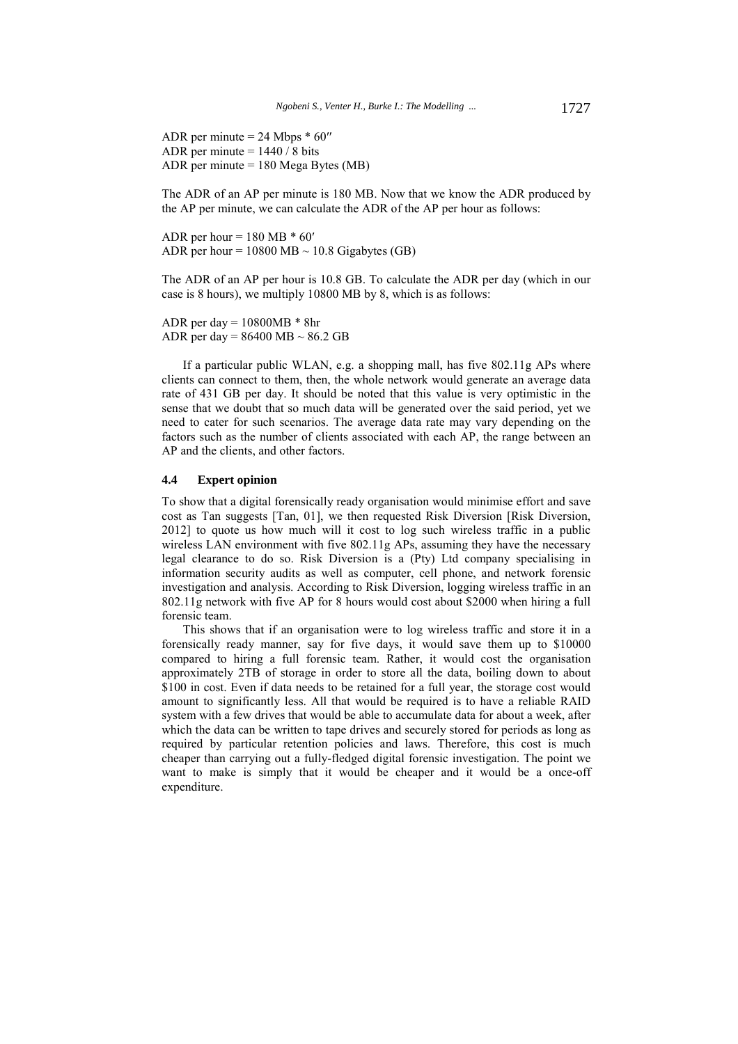ADR per minute = 24 Mbps \* 60′′ ADR per minute  $= 1440 / 8$  bits ADR per minute = 180 Mega Bytes (MB)

The ADR of an AP per minute is 180 MB. Now that we know the ADR produced by the AP per minute, we can calculate the ADR of the AP per hour as follows:

ADR per hour =  $180 \text{ MB}$  \*  $60'$ ADR per hour =  $10800 \text{ MB} \sim 10.8 \text{ Gigabytes (GB)}$ 

The ADR of an AP per hour is 10.8 GB. To calculate the ADR per day (which in our case is 8 hours), we multiply 10800 MB by 8, which is as follows:

```
ADR per day = 10800MB * 8hrADR per day = 86400 MB \sim 86.2 GB
```
If a particular public WLAN, e.g. a shopping mall, has five 802.11g APs where clients can connect to them, then, the whole network would generate an average data rate of 431 GB per day. It should be noted that this value is very optimistic in the sense that we doubt that so much data will be generated over the said period, yet we need to cater for such scenarios. The average data rate may vary depending on the factors such as the number of clients associated with each AP, the range between an AP and the clients, and other factors.

#### **4.4 Expert opinion**

To show that a digital forensically ready organisation would minimise effort and save cost as Tan suggests [Tan, 01], we then requested Risk Diversion [Risk Diversion, 2012] to quote us how much will it cost to log such wireless traffic in a public wireless LAN environment with five 802.11g APs, assuming they have the necessary legal clearance to do so. Risk Diversion is a (Pty) Ltd company specialising in information security audits as well as computer, cell phone, and network forensic investigation and analysis. According to Risk Diversion, logging wireless traffic in an 802.11g network with five AP for 8 hours would cost about \$2000 when hiring a full forensic team.

This shows that if an organisation were to log wireless traffic and store it in a forensically ready manner, say for five days, it would save them up to \$10000 compared to hiring a full forensic team. Rather, it would cost the organisation approximately 2TB of storage in order to store all the data, boiling down to about \$100 in cost. Even if data needs to be retained for a full year, the storage cost would amount to significantly less. All that would be required is to have a reliable RAID system with a few drives that would be able to accumulate data for about a week, after which the data can be written to tape drives and securely stored for periods as long as required by particular retention policies and laws. Therefore, this cost is much cheaper than carrying out a fully-fledged digital forensic investigation. The point we want to make is simply that it would be cheaper and it would be a once-off expenditure.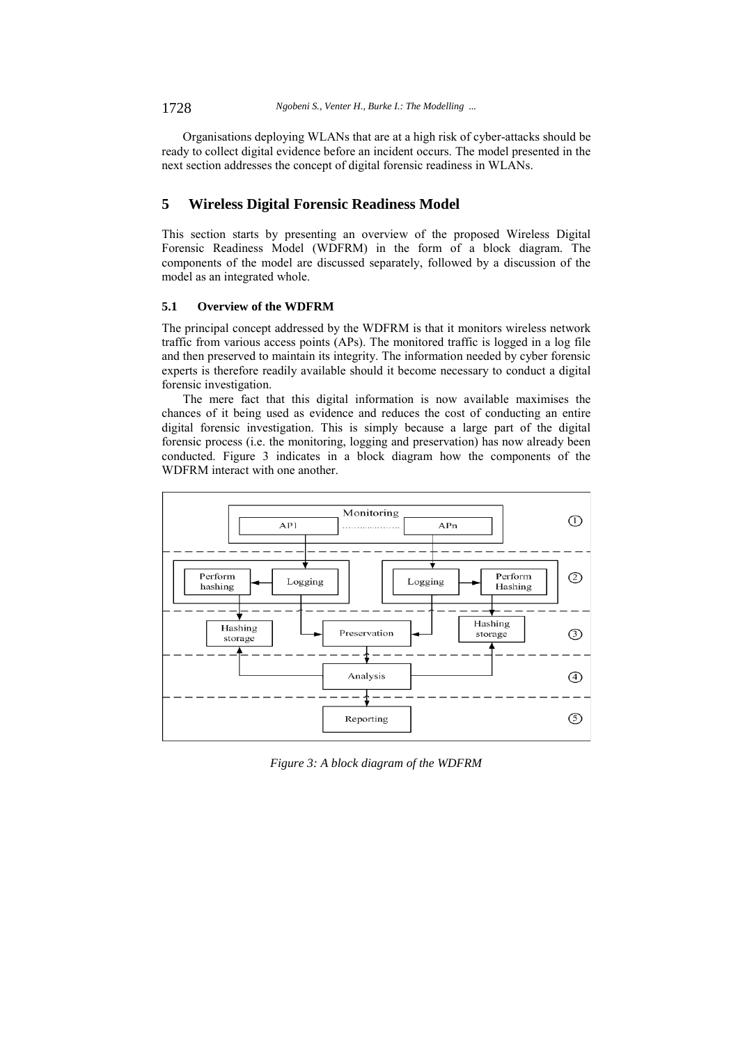Organisations deploying WLANs that are at a high risk of cyber-attacks should be ready to collect digital evidence before an incident occurs. The model presented in the next section addresses the concept of digital forensic readiness in WLANs.

# **5 Wireless Digital Forensic Readiness Model**

This section starts by presenting an overview of the proposed Wireless Digital Forensic Readiness Model (WDFRM) in the form of a block diagram. The components of the model are discussed separately, followed by a discussion of the model as an integrated whole.

#### **5.1 Overview of the WDFRM**

The principal concept addressed by the WDFRM is that it monitors wireless network traffic from various access points (APs). The monitored traffic is logged in a log file and then preserved to maintain its integrity. The information needed by cyber forensic experts is therefore readily available should it become necessary to conduct a digital forensic investigation.

The mere fact that this digital information is now available maximises the chances of it being used as evidence and reduces the cost of conducting an entire digital forensic investigation. This is simply because a large part of the digital forensic process (i.e. the monitoring, logging and preservation) has now already been conducted. Figure 3 indicates in a block diagram how the components of the WDFRM interact with one another.



*Figure 3: A block diagram of the WDFRM*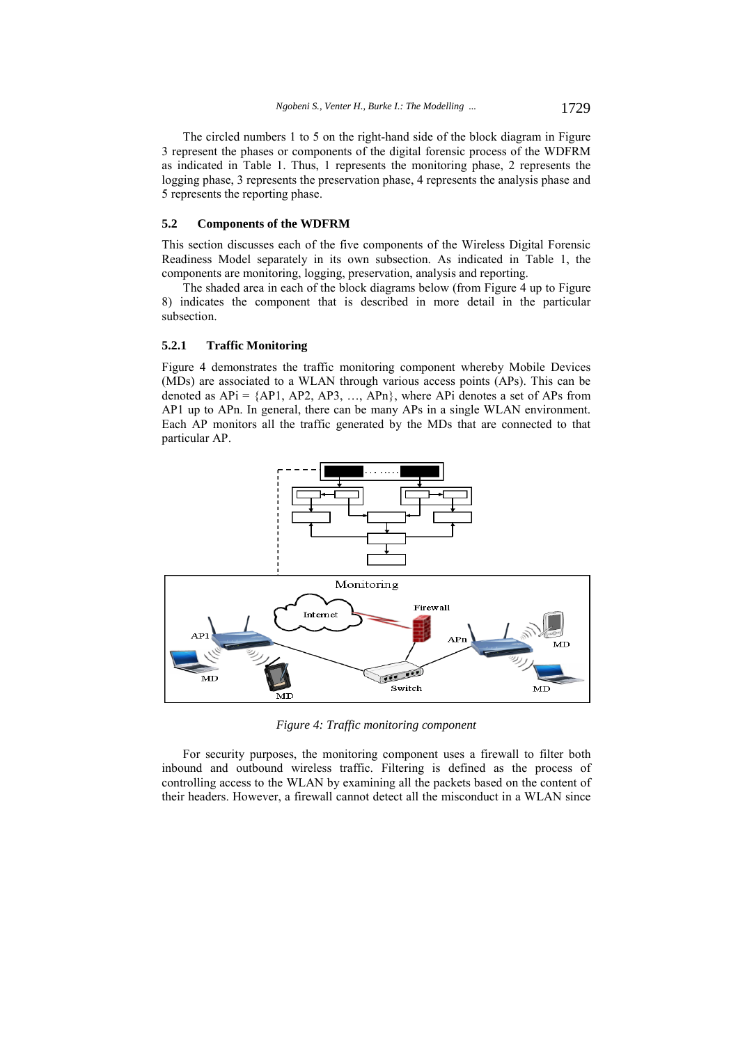The circled numbers 1 to 5 on the right-hand side of the block diagram in Figure 3 represent the phases or components of the digital forensic process of the WDFRM as indicated in Table 1. Thus, 1 represents the monitoring phase, 2 represents the logging phase, 3 represents the preservation phase, 4 represents the analysis phase and 5 represents the reporting phase.

#### **5.2 Components of the WDFRM**

This section discusses each of the five components of the Wireless Digital Forensic Readiness Model separately in its own subsection. As indicated in Table 1, the components are monitoring, logging, preservation, analysis and reporting.

The shaded area in each of the block diagrams below (from Figure 4 up to Figure 8) indicates the component that is described in more detail in the particular subsection.

#### **5.2.1 Traffic Monitoring**

Figure 4 demonstrates the traffic monitoring component whereby Mobile Devices (MDs) are associated to a WLAN through various access points (APs). This can be denoted as  $APi = \{AP1, AP2, AP3, ..., APn\}$ , where APi denotes a set of APs from AP1 up to APn. In general, there can be many APs in a single WLAN environment. Each AP monitors all the traffic generated by the MDs that are connected to that particular AP.



*Figure 4: Traffic monitoring component* 

For security purposes, the monitoring component uses a firewall to filter both inbound and outbound wireless traffic. Filtering is defined as the process of controlling access to the WLAN by examining all the packets based on the content of their headers. However, a firewall cannot detect all the misconduct in a WLAN since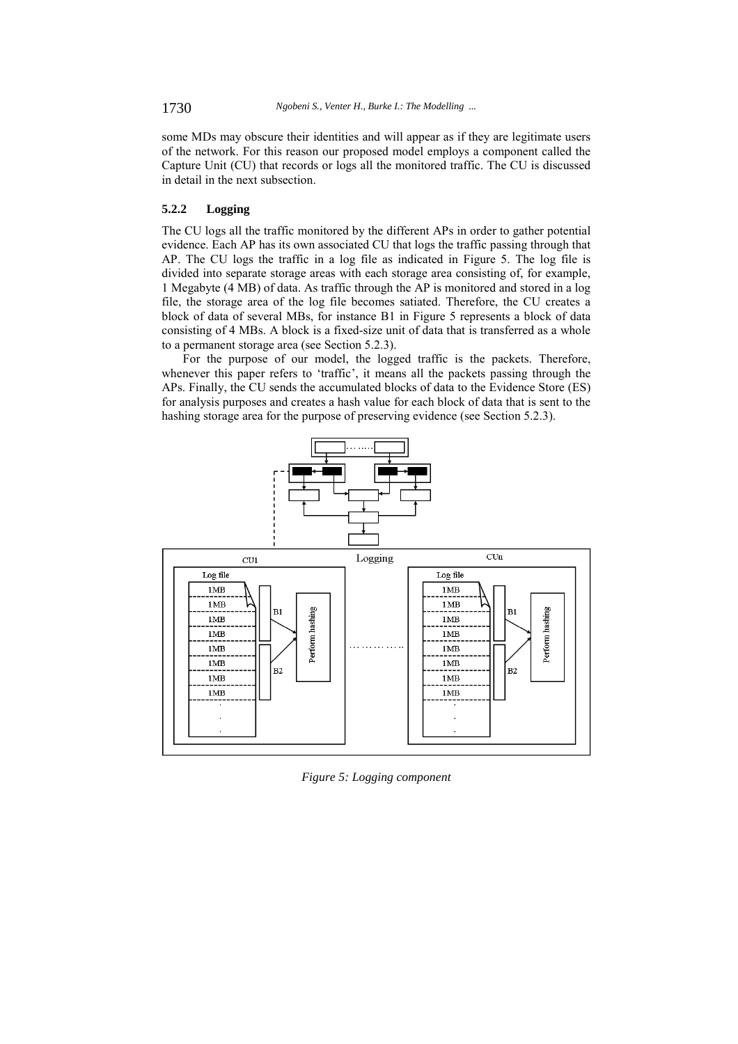some MDs may obscure their identities and will appear as if they are legitimate users of the network. For this reason our proposed model employs a component called the Capture Unit (CU) that records or logs all the monitored traffic. The CU is discussed in detail in the next subsection.

## **5.2.2 Logging**

The CU logs all the traffic monitored by the different APs in order to gather potential evidence. Each AP has its own associated CU that logs the traffic passing through that AP. The CU logs the traffic in a log file as indicated in Figure 5. The log file is divided into separate storage areas with each storage area consisting of, for example, 1 Megabyte (4 MB) of data. As traffic through the AP is monitored and stored in a log file, the storage area of the log file becomes satiated. Therefore, the CU creates a block of data of several MBs, for instance B1 in Figure 5 represents a block of data consisting of 4 MBs. A block is a fixed-size unit of data that is transferred as a whole to a permanent storage area (see Section 5.2.3).

For the purpose of our model, the logged traffic is the packets. Therefore, whenever this paper refers to 'traffic', it means all the packets passing through the APs. Finally, the CU sends the accumulated blocks of data to the Evidence Store (ES) for analysis purposes and creates a hash value for each block of data that is sent to the hashing storage area for the purpose of preserving evidence (see Section 5.2.3).



*Figure 5: Logging component*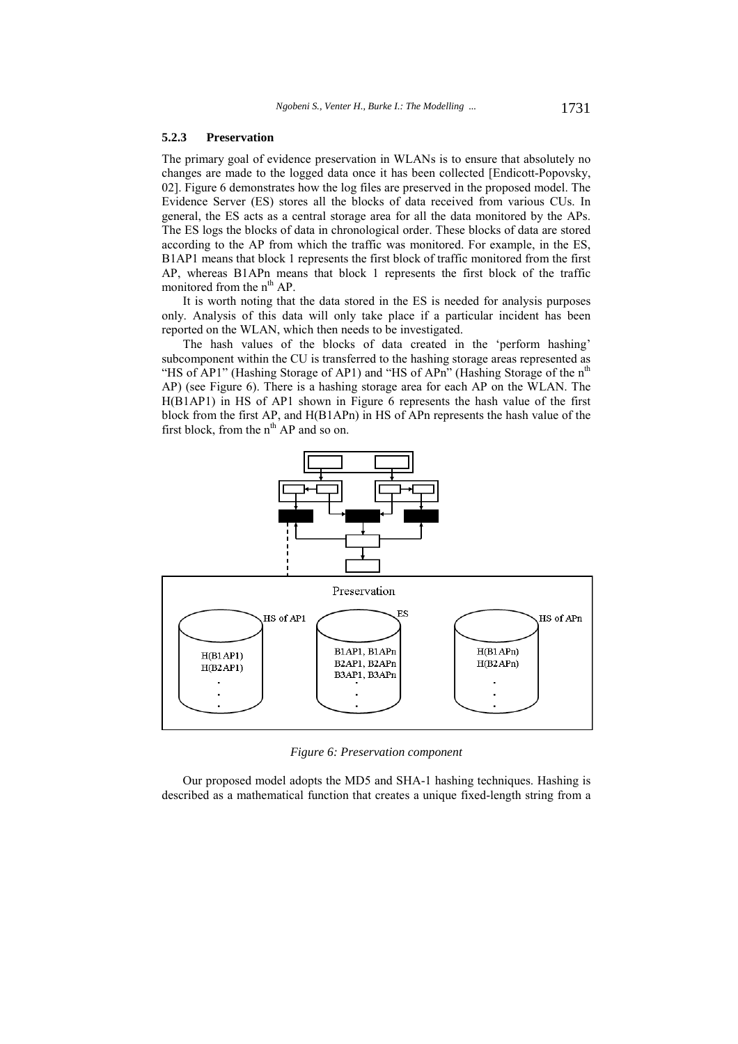#### **5.2.3 Preservation**

The primary goal of evidence preservation in WLANs is to ensure that absolutely no changes are made to the logged data once it has been collected [Endicott-Popovsky, 02]. Figure 6 demonstrates how the log files are preserved in the proposed model. The Evidence Server (ES) stores all the blocks of data received from various CUs. In general, the ES acts as a central storage area for all the data monitored by the APs. The ES logs the blocks of data in chronological order. These blocks of data are stored according to the AP from which the traffic was monitored. For example, in the ES, B1AP1 means that block 1 represents the first block of traffic monitored from the first AP, whereas B1APn means that block 1 represents the first block of the traffic monitored from the n<sup>th</sup> AP.

It is worth noting that the data stored in the ES is needed for analysis purposes only. Analysis of this data will only take place if a particular incident has been reported on the WLAN, which then needs to be investigated.

The hash values of the blocks of data created in the 'perform hashing' subcomponent within the CU is transferred to the hashing storage areas represented as "HS of AP1" (Hashing Storage of AP1) and "HS of APn" (Hashing Storage of the n<sup>th</sup> AP) (see Figure 6). There is a hashing storage area for each AP on the WLAN. The H(B1AP1) in HS of AP1 shown in Figure 6 represents the hash value of the first block from the first AP, and H(B1APn) in HS of APn represents the hash value of the first block, from the  $n^{th}$  AP and so on.



*Figure 6: Preservation component* 

Our proposed model adopts the MD5 and SHA-1 hashing techniques. Hashing is described as a mathematical function that creates a unique fixed-length string from a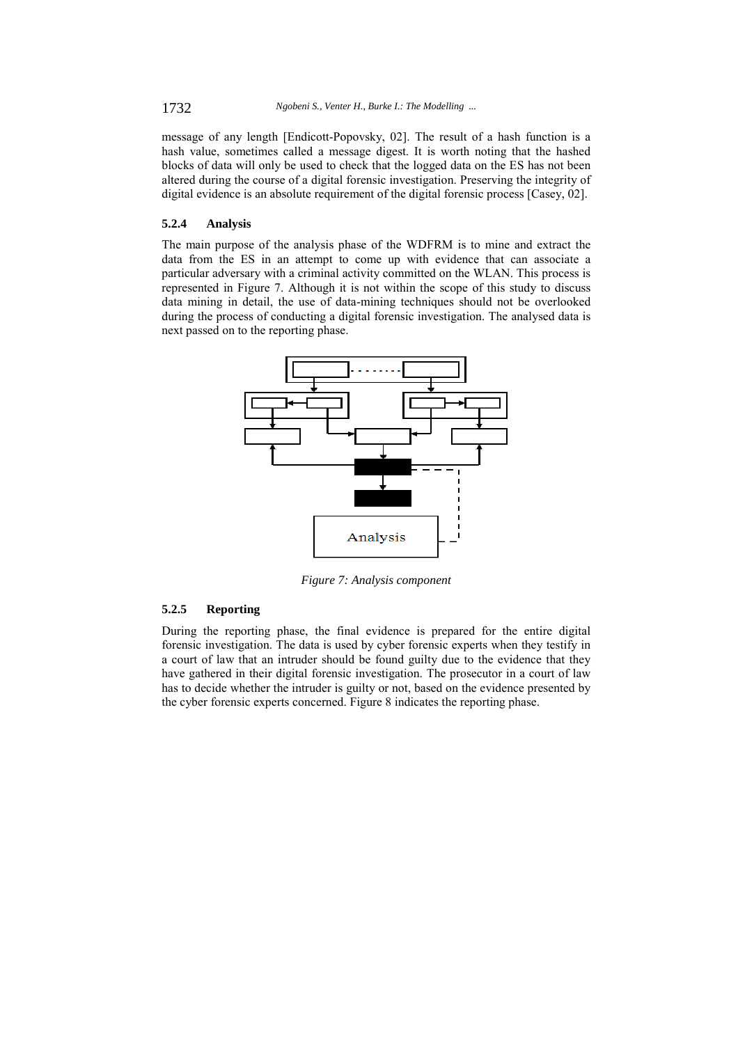message of any length [Endicott-Popovsky, 02]. The result of a hash function is a hash value, sometimes called a message digest. It is worth noting that the hashed blocks of data will only be used to check that the logged data on the ES has not been altered during the course of a digital forensic investigation. Preserving the integrity of digital evidence is an absolute requirement of the digital forensic process [Casey, 02].

## **5.2.4 Analysis**

The main purpose of the analysis phase of the WDFRM is to mine and extract the data from the ES in an attempt to come up with evidence that can associate a particular adversary with a criminal activity committed on the WLAN. This process is represented in Figure 7. Although it is not within the scope of this study to discuss data mining in detail, the use of data-mining techniques should not be overlooked during the process of conducting a digital forensic investigation. The analysed data is next passed on to the reporting phase.



*Figure 7: Analysis component* 

## **5.2.5 Reporting**

During the reporting phase, the final evidence is prepared for the entire digital forensic investigation. The data is used by cyber forensic experts when they testify in a court of law that an intruder should be found guilty due to the evidence that they have gathered in their digital forensic investigation. The prosecutor in a court of law has to decide whether the intruder is guilty or not, based on the evidence presented by the cyber forensic experts concerned. Figure 8 indicates the reporting phase.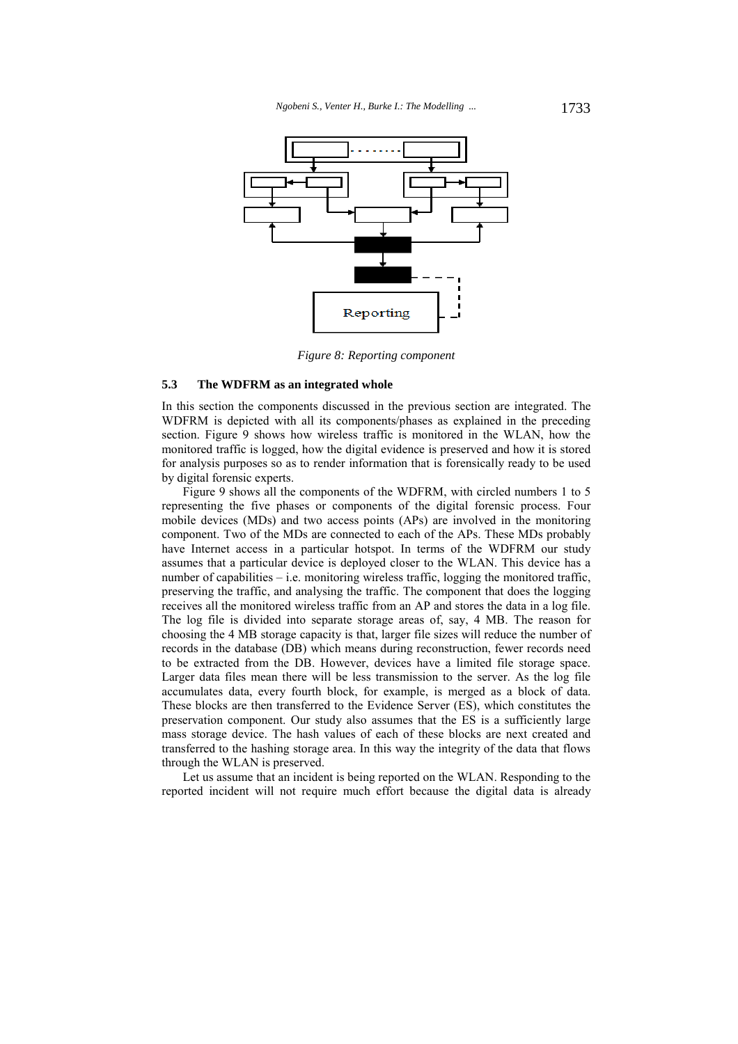

*Figure 8: Reporting component* 

#### **5.3 The WDFRM as an integrated whole**

In this section the components discussed in the previous section are integrated. The WDFRM is depicted with all its components/phases as explained in the preceding section. Figure 9 shows how wireless traffic is monitored in the WLAN, how the monitored traffic is logged, how the digital evidence is preserved and how it is stored for analysis purposes so as to render information that is forensically ready to be used by digital forensic experts.

Figure 9 shows all the components of the WDFRM, with circled numbers 1 to 5 representing the five phases or components of the digital forensic process. Four mobile devices (MDs) and two access points (APs) are involved in the monitoring component. Two of the MDs are connected to each of the APs. These MDs probably have Internet access in a particular hotspot. In terms of the WDFRM our study assumes that a particular device is deployed closer to the WLAN. This device has a number of capabilities – i.e. monitoring wireless traffic, logging the monitored traffic, preserving the traffic, and analysing the traffic. The component that does the logging receives all the monitored wireless traffic from an AP and stores the data in a log file. The log file is divided into separate storage areas of, say, 4 MB. The reason for choosing the 4 MB storage capacity is that, larger file sizes will reduce the number of records in the database (DB) which means during reconstruction, fewer records need to be extracted from the DB. However, devices have a limited file storage space. Larger data files mean there will be less transmission to the server. As the log file accumulates data, every fourth block, for example, is merged as a block of data. These blocks are then transferred to the Evidence Server (ES), which constitutes the preservation component. Our study also assumes that the ES is a sufficiently large mass storage device. The hash values of each of these blocks are next created and transferred to the hashing storage area. In this way the integrity of the data that flows through the WLAN is preserved.

Let us assume that an incident is being reported on the WLAN. Responding to the reported incident will not require much effort because the digital data is already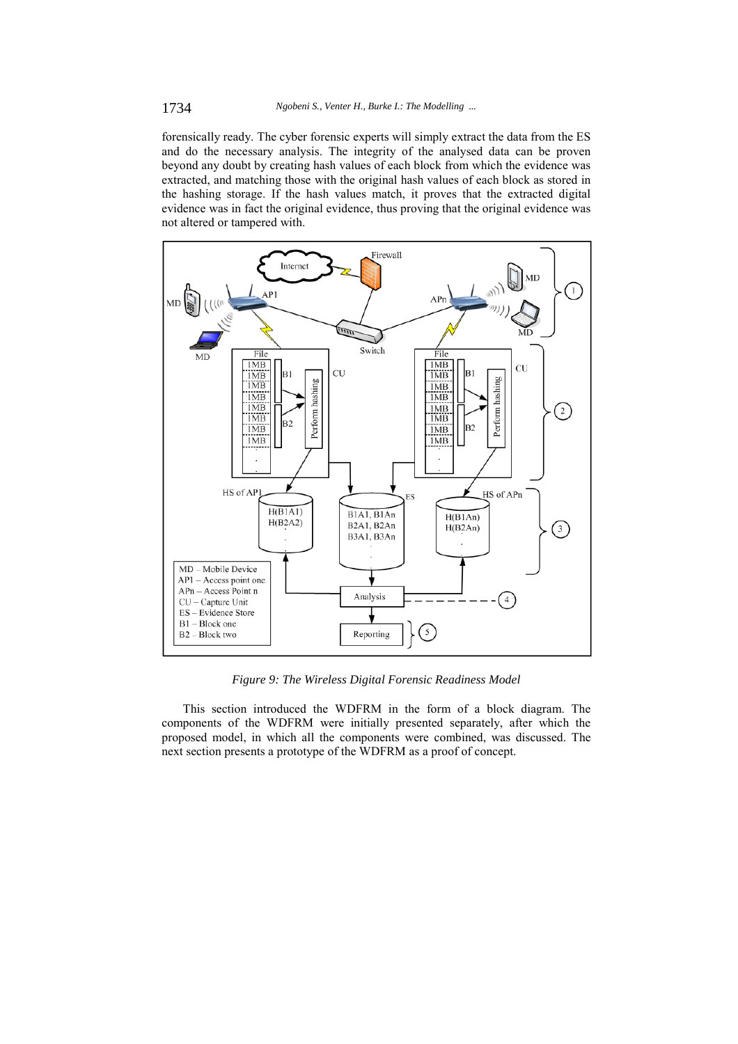forensically ready. The cyber forensic experts will simply extract the data from the ES and do the necessary analysis. The integrity of the analysed data can be proven beyond any doubt by creating hash values of each block from which the evidence was extracted, and matching those with the original hash values of each block as stored in the hashing storage. If the hash values match, it proves that the extracted digital evidence was in fact the original evidence, thus proving that the original evidence was not altered or tampered with.



*Figure 9: The Wireless Digital Forensic Readiness Model* 

This section introduced the WDFRM in the form of a block diagram. The components of the WDFRM were initially presented separately, after which the proposed model, in which all the components were combined, was discussed. The next section presents a prototype of the WDFRM as a proof of concept.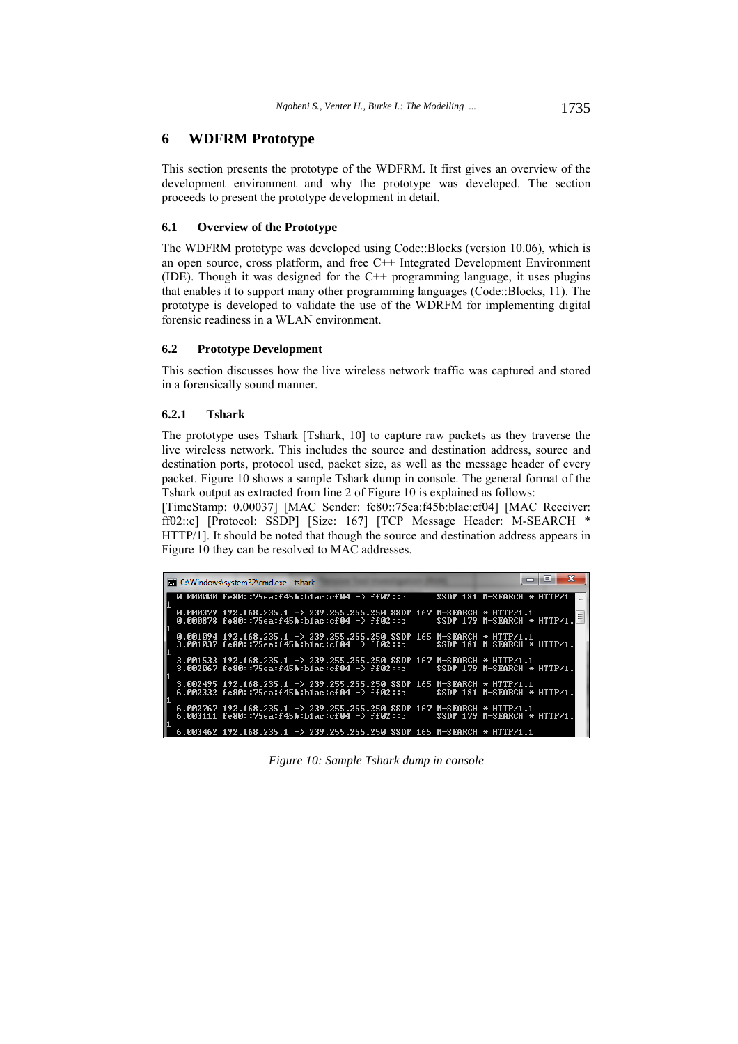## **6 WDFRM Prototype**

This section presents the prototype of the WDFRM. It first gives an overview of the development environment and why the prototype was developed. The section proceeds to present the prototype development in detail.

#### **6.1 Overview of the Prototype**

The WDFRM prototype was developed using Code::Blocks (version 10.06), which is an open source, cross platform, and free C++ Integrated Development Environment (IDE). Though it was designed for the C++ programming language, it uses plugins that enables it to support many other programming languages (Code::Blocks, 11). The prototype is developed to validate the use of the WDRFM for implementing digital forensic readiness in a WLAN environment.

## **6.2 Prototype Development**

This section discusses how the live wireless network traffic was captured and stored in a forensically sound manner.

## **6.2.1 Tshark**

The prototype uses Tshark [Tshark, 10] to capture raw packets as they traverse the live wireless network. This includes the source and destination address, source and destination ports, protocol used, packet size, as well as the message header of every packet. Figure 10 shows a sample Tshark dump in console. The general format of the Tshark output as extracted from line 2 of Figure 10 is explained as follows:

[TimeStamp: 0.00037] [MAC Sender: fe80::75ea:f45b:blac:cf04] [MAC Receiver: ff02::c] [Protocol: SSDP] [Size: 167] [TCP Message Header: M-SEARCH \* HTTP/1]. It should be noted that though the source and destination address appears in Figure 10 they can be resolved to MAC addresses.

|  | <b>EXEC:\Windows\system32\cmd.exe - tshark</b>                                                                              | -9                            |
|--|-----------------------------------------------------------------------------------------------------------------------------|-------------------------------|
|  | $0.000000$ fe80::75ea:f45b:b1ac:cf04 -> ff02::c                                                                             | SSDP 181 M-SEARCH $*$ HTTP/1. |
|  | 0.000379 192.168.235.1 -> 239.255.255.250 SSDP 167 M-SEARCH $*$ HTTP/1.1<br>0.000878 fe80::75ea:f45b:b1ac:cf04 -> ff02::c   | SSDP 179 M-SEARCH $*$ HTTP/1. |
|  | 0.001094 192.168.235.1 -> 239.255.255.250 SSDP 165 M-SEARCH * HITP/1.1<br>3.001037 fe80::75ea:f45b:b1ac:cf04 -> ff02::c     | SSDP 181 M-SEARCH * HTTP/1.   |
|  | 3.001533 192.168.235.1 -> 239.255.255.250 SSDP 167 M-SEARCH * HITP/1.1<br>3.002067 fe80::75ea:f45b:b1ac:cf04 −> ff02::c     | SSDP 179 M-SEARCH $*$ HTTP/1. |
|  | $3.002495$ 192.168.235.1 -> 239.255.255.250 SSDP 165 M-SEARCH $*$ HTTP/1.1<br>6.002332 fe80::75ea:f45b:b1ac:cf04 -> ff02::c | SSDP 181 M-SEARCH $*$ HTTP/1. |
|  | 6.002767 192.168.235.1 -> 239.255.255.250 SSDP 167 M-SEARCH $*$ HITP/1.1<br>6.003111 fe80::75ea:f45b:b1ac:cf04 -> ff02::c   | SSDP 179 M-SEARCH * HTTP/1.   |
|  | 6.003462 192.168.235.1 -> 239.255.255.250 SSDP 165 M-SEARCH * HTTP/1.1                                                      |                               |

*Figure 10: Sample Tshark dump in console*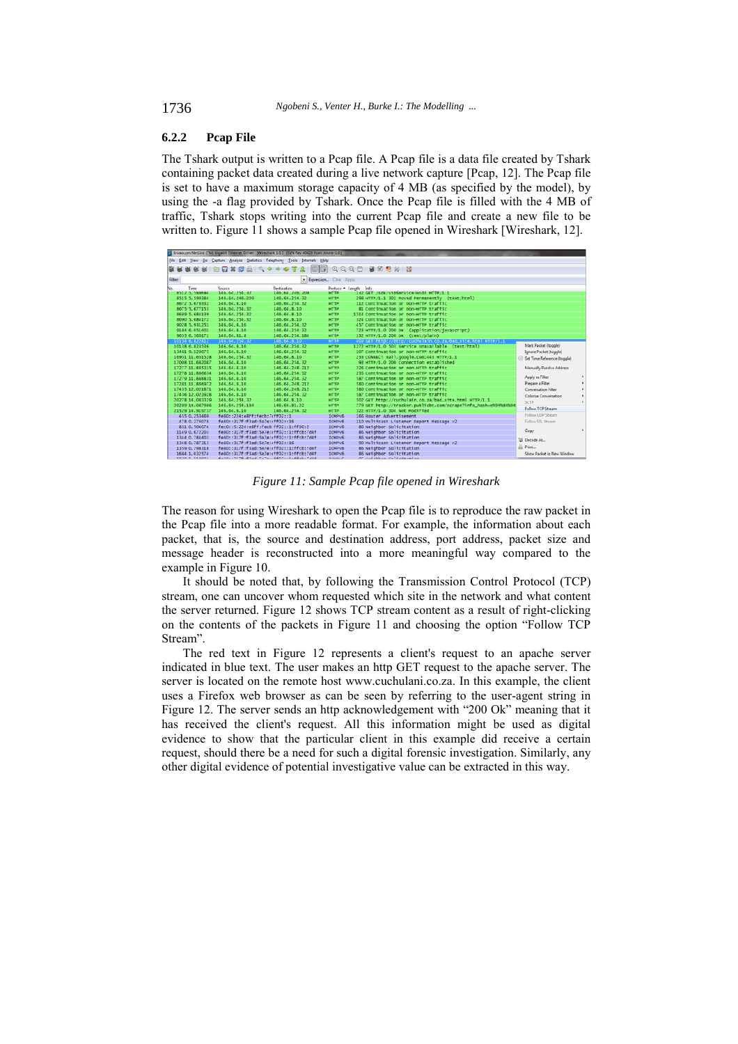## **6.2.2 Pcap File**

The Tshark output is written to a Pcap file. A Pcap file is a data file created by Tshark containing packet data created during a live network capture [Pcap, 12]. The Pcap file is set to have a maximum storage capacity of 4 MB (as specified by the model), by using the -a flag provided by Tshark. Once the Pcap file is filled with the 4 MB of traffic, Tshark stops writing into the current Pcap file and create a new file to be written to. Figure 11 shows a sample Pcap file opened in Wireshark [Wireshark, 12].

|     |         |                                       |                                | Recadcom NetLink (TM) Gigabit Ethernet Driver [Wireshark 1.6.5 (SVN Rev 40429 from /trunk-1.6)] |                            |                                                                                        |                             |
|-----|---------|---------------------------------------|--------------------------------|-------------------------------------------------------------------------------------------------|----------------------------|----------------------------------------------------------------------------------------|-----------------------------|
|     |         |                                       |                                | File Edit View Go Capture Analyze Statistics Telephony Tools Internals Help                     |                            |                                                                                        |                             |
|     |         |                                       |                                |                                                                                                 |                            | <b>2 4 4 4 4 4 5 5 7 2 8 4 4 4 4 5 7 4 5 6 7 4 6 7 8 8 7 8 % 8 % 8</b>                 |                             |
|     |         |                                       |                                |                                                                                                 |                            |                                                                                        |                             |
|     | Filter: |                                       |                                | - Expression Clear Apply                                                                        |                            |                                                                                        |                             |
| No. |         | Time                                  | Source                         | Destination                                                                                     |                            | Protoco - Length Info                                                                  |                             |
|     |         | 8512 5.589694                         | 146.64.254.32                  | 146.64.246.209                                                                                  | <b>HTTP</b>                | 1sz GET /sdk/vimService/wsdl HTTP/1.1                                                  |                             |
|     |         | 8515 5.590384                         | 146.64.246.209<br>146.64.8.10  | 146.64.254.32<br>146.64.254.32                                                                  | <b>HTTP</b><br><b>HTTP</b> | 298 HTTP/1.1 301 Moved Permanently (text/html)<br>112 Continuation or non-HTTP traffic |                             |
|     |         | 8672 5.676332<br>8675 5.677153        | 146.64.254.32                  | 146.64.8.10                                                                                     | <b>HTTP</b>                | 81 Continuation or non-HTTP traffic                                                    |                             |
|     |         | 8689 5.684139                         | 146.64.254.32                  | 146.64.8.10                                                                                     | <b>HTTP</b>                | 1514 Continuation or non-HTTP traffic                                                  |                             |
|     |         | 8690 5.684172                         | 146.64.254.32                  | 146.64.8.10                                                                                     | <b>HTTP</b>                | 324 Continuation or non-HTTP traffic                                                   |                             |
|     |         | 9028 5.931251                         | 146.64.8.10                    | 146.64.254.32                                                                                   | <b>HTTP</b>                | 457 Continuation or non-HTTP traffic                                                   |                             |
|     |         | 9184 6.051401                         | 146.64.8.10                    | 146.64.254.32                                                                                   | <b>HTTP</b>                | 723 HTTP/1.0 200 OK (application/javascript)                                           |                             |
|     |         | 9633 6.360171                         | 146.64.81.8                    | 146.64.254.184                                                                                  | <b>HTTP</b>                | 132 HTTP/1.0 200 OK (text/plain)                                                       |                             |
|     |         | 10134 6.822412                        | 146.64.254.32                  | 146.64.8.10                                                                                     | <b>HTTP</b>                | 403 GET http://http//cuchulain.co.za/bad_site.html HTTP/1.1                            |                             |
|     |         | 10138 6.823536                        | 146.64.8.10                    | 146.64.254.32                                                                                   | <b>HTTP</b>                | 1272 HTTP/1.0 503 Service Unavailable (text/html)                                      | Mark Packet (toggle)        |
|     |         | 13461 9.120075                        | 146.64.8.10                    | 146.64.254.32                                                                                   | <b>HTTP</b>                | 107 Continuation or non-HTTP traffic                                                   | Ignore Packet (toggle)      |
|     |         | 16951 11.651528                       | 146.64.254.32                  | 146.64.8.10                                                                                     | <b>HTTP</b>                | 233 CONNECT mail.google.com:443 HTTP/1.1                                               | Set Time Reference (toggle) |
|     |         | 17008 11.682087                       | 146.64.8.10                    | 146.64.254.32                                                                                   | <b>HTTP</b>                | 93 HTTP/1.0 200 Connection established                                                 |                             |
|     |         | 17277 11.885315                       | 146.64.8.10                    | 146.64.248.212                                                                                  | <b>HTTP</b>                | 226 Continuation or non-HTTP traffic                                                   | Manually Resolve Address    |
|     |         | 17278 11.886634                       | 146.64.8.10                    | 146.64.254.32                                                                                   | <b>HTTP</b>                | 235 Continuation or non-HTTP traffic                                                   |                             |
|     |         | 17279 11.886831                       | 146.64.8.10                    | 146.64.254.32                                                                                   | <b>HTTP</b>                | 587 Continuation or non-HTTP traffic                                                   | Apply as Filter             |
|     |         | 17281 11.886972                       | 146.64.8.10                    | 146.64.248.212                                                                                  | иттр                       | 580 Continuation or non-HTTP traffic                                                   | Prepare a Filter            |
|     |         | 17435 12.021871                       | 146.64.8.10                    | 146.64.248.212                                                                                  | иттр                       | 580 Continuation or non-HTTP traffic                                                   | <b>Conversation Filter</b>  |
|     |         | 17436 12.023928                       | 146.64.8.10                    | 146.64.254.32                                                                                   | <b>HTTP</b>                | 587 Continuation or non-HTTP traffic                                                   | Colorize Conversation       |
|     |         | 20278 14.083329                       | 146.64.254.32                  | 146.64.8.10                                                                                     | иттр                       | 502 GET http://cuchulain.co.za/bad_site.html HTTP/1.1                                  | <b>SCTP</b>                 |
|     |         | 20289 14, 087986                      | 146.64.254.184                 | 146.64.81.22                                                                                    | <b>HTTP</b>                | 779 GET http://tracker.publicbt.com/scrape?info_hash=e%99%d4%04                        |                             |
|     |         | 21529 14.919737                       | 146.64.8.10                    | 146.64.254.32                                                                                   | иттр                       | 322 HTTP/1.0 304 Not Modified                                                          | Follow TCP Stream           |
|     |         | 455 0.253469                          | fe80::224:e8ff:fecb:7(ff02::1  |                                                                                                 | ICMPV6                     | 166 Router Advertisement                                                               | Follow UDP Stream           |
|     |         | 478 0.276078                          | fe80::317f:f3ad:5e7e:xff02::16 |                                                                                                 | <b>ICMPV6</b>              | 110 Multicast Listener Report Message v2                                               | Follow SSL Stream           |
|     |         | 831 0.504074                          |                                | fec0::5:224:e8ff:fecb ff02::1:ff00:2                                                            | <b>ICMPV6</b>              | 86 Neighbor Solicitation                                                               |                             |
|     |         | 1149 0.672203                         |                                | fe80::317f:f3ad:5e7e:(ff02::1:ffcb:7d4f                                                         | ICMPV6                     | 86 Neighbor Solicitation                                                               | Copy                        |
|     |         | 1344 0.784403                         |                                | fe80::317f:f3ad:5e7e:(ff02::1:ffcb:7d4f                                                         | ICMPV6                     | 86 Neighbor Solicitation                                                               | 김 Decode As                 |
|     |         | 1348 0.787313                         | fe80::317f:f3ad:5e7e:cff02::16 |                                                                                                 | ICMPV6                     | 90 Multicast Listener Report Message v2                                                | B Print                     |
|     |         | 1359 0.798318                         |                                | fe80::317f:f3ad:5e7e:(ff02::1:ffcb:7d4f                                                         | ICMPV6                     | 86 Neighbor Solicitation                                                               |                             |
|     |         | 1684 1.032574<br><b>SASA E SEAGAS</b> |                                | fe80::317f:f3ad:5e7e:(ff02::1:ffcb:7d4f<br>ALDON 2574-ATA-LITATILLAGOT LITAGALLTAGA             | ICMPV6<br><b>REALBOX</b>   | 86 Neighbor Solicitation<br>or undabban ratifadesedan                                  | Show Packet in New Window   |

*Figure 11: Sample Pcap file opened in Wireshark* 

The reason for using Wireshark to open the Pcap file is to reproduce the raw packet in the Pcap file into a more readable format. For example, the information about each packet, that is, the source and destination address, port address, packet size and message header is reconstructed into a more meaningful way compared to the example in Figure 10.

It should be noted that, by following the Transmission Control Protocol (TCP) stream, one can uncover whom requested which site in the network and what content the server returned. Figure 12 shows TCP stream content as a result of right-clicking on the contents of the packets in Figure 11 and choosing the option "Follow TCP Stream".

The red text in Figure 12 represents a client's request to an apache server indicated in blue text. The user makes an http GET request to the apache server. The server is located on the remote host www.cuchulani.co.za. In this example, the client uses a Firefox web browser as can be seen by referring to the user-agent string in Figure 12. The server sends an http acknowledgement with "200 Ok" meaning that it has received the client's request. All this information might be used as digital evidence to show that the particular client in this example did receive a certain request, should there be a need for such a digital forensic investigation. Similarly, any other digital evidence of potential investigative value can be extracted in this way.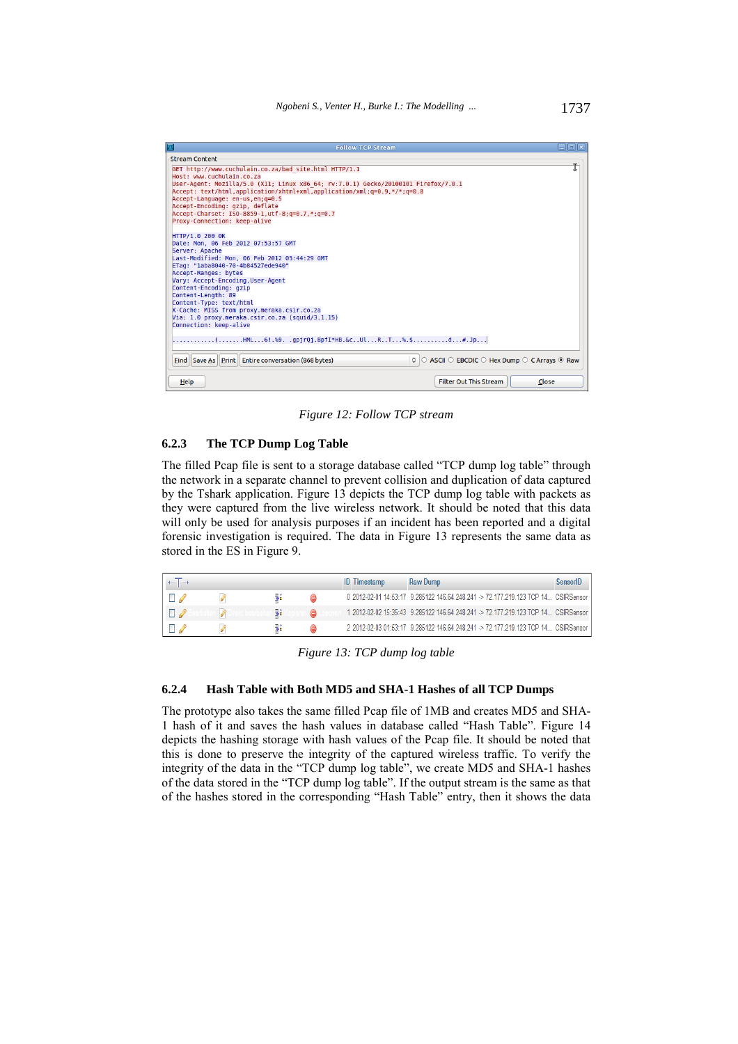

*Figure 12: Follow TCP stream* 

#### **6.2.3 The TCP Dump Log Table**

The filled Pcap file is sent to a storage database called "TCP dump log table" through the network in a separate channel to prevent collision and duplication of data captured by the Tshark application. Figure 13 depicts the TCP dump log table with packets as they were captured from the live wireless network. It should be noted that this data will only be used for analysis purposes if an incident has been reported and a digital forensic investigation is required. The data in Figure 13 represents the same data as stored in the ES in Figure 9.

|  |     |  | <b>ID</b> Timestamp | Raw Dump                                                                          | SensorID |
|--|-----|--|---------------------|-----------------------------------------------------------------------------------|----------|
|  |     |  |                     | 0 2012-02-01 14:53:17 9.285122 146.64.248.241 -> 72.177.219.123 TCP 14 CSIRSensor |          |
|  | 76d |  |                     | 1 2012-02-02 15:35:43 9.285122 146.64.248.241 -> 72.177.219.123 TCP 14 CSIRSensor |          |
|  |     |  |                     | 2 2012-02-03 01:53:17 9.285122 146.64.248.241 -> 72.177.219.123 TCP 14 CSIRSensor |          |

*Figure 13: TCP dump log table* 

#### **6.2.4 Hash Table with Both MD5 and SHA-1 Hashes of all TCP Dumps**

The prototype also takes the same filled Pcap file of 1MB and creates MD5 and SHA-1 hash of it and saves the hash values in database called "Hash Table". Figure 14 depicts the hashing storage with hash values of the Pcap file. It should be noted that this is done to preserve the integrity of the captured wireless traffic. To verify the integrity of the data in the "TCP dump log table", we create MD5 and SHA-1 hashes of the data stored in the "TCP dump log table". If the output stream is the same as that of the hashes stored in the corresponding "Hash Table" entry, then it shows the data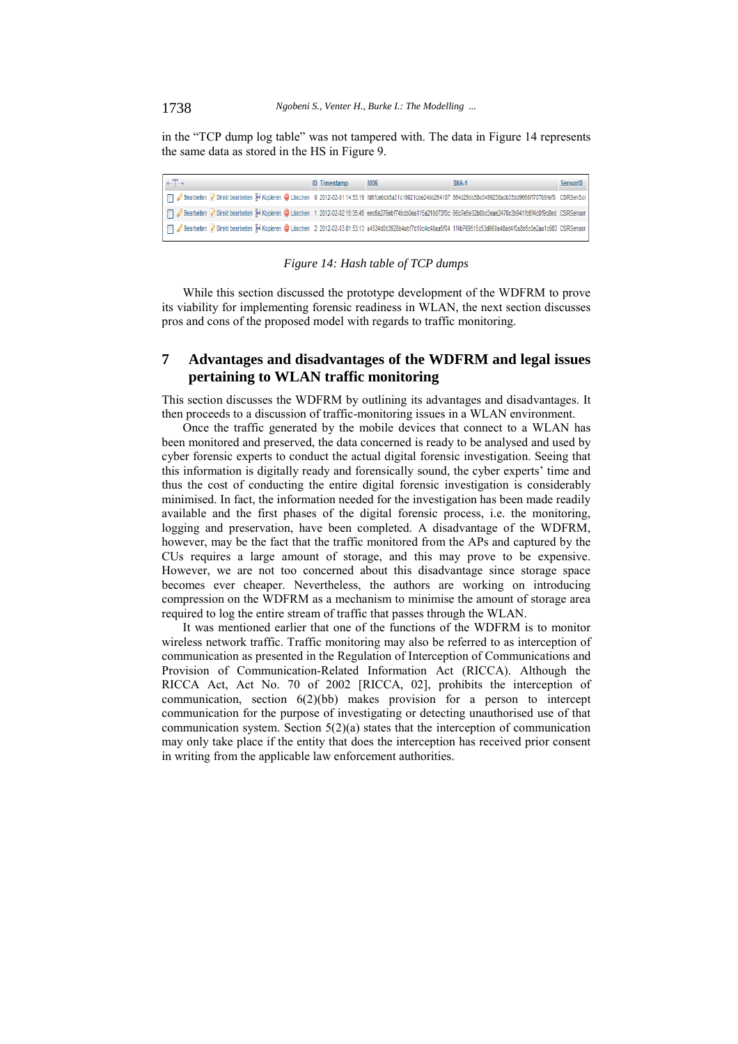in the "TCP dump log table" was not tampered with. The data in Figure 14 represents the same data as stored in the HS in Figure 9.

| $+T$                                                                                                                                                             | <b>ID</b> Timestamp | MD <sub>5</sub> | SHA-1 | SensorID |
|------------------------------------------------------------------------------------------------------------------------------------------------------------------|---------------------|-----------------|-------|----------|
| Bearbeiten ØDirekt bearbeiten ™ Kopieren ● Löschen 0 2012-02-01 14:53:19 fd6fcebbb5a31c19021cbe24bb264187 864d29dc58c0499238adb35dd9668ff707b9fef8 CSIRSenSor    |                     |                 |       |          |
| Flearbeiten Ø Direkt bearbeiten Be Kopieren ● Löschen 1 2012-02-02 15:35:45 eec6a276ebf74bcb0ea115a210d73f0c 66c7e5e32b0bc3eae2470c3b941fc6f4c0f9c8ed CSIRSensor |                     |                 |       |          |
| Direkt bearbeiten versiehen 3 i Kopieren ● Löschen 2 2012-02-03 01:53:13 a453400b3928b4abf7d10c4c48aa5f04 1f4b769515c53d660a48ad4f0a8b5c0e2aa1c983 CSIRSensor    |                     |                 |       |          |



While this section discussed the prototype development of the WDFRM to prove its viability for implementing forensic readiness in WLAN, the next section discusses pros and cons of the proposed model with regards to traffic monitoring.

# **7 Advantages and disadvantages of the WDFRM and legal issues pertaining to WLAN traffic monitoring**

This section discusses the WDFRM by outlining its advantages and disadvantages. It then proceeds to a discussion of traffic-monitoring issues in a WLAN environment.

Once the traffic generated by the mobile devices that connect to a WLAN has been monitored and preserved, the data concerned is ready to be analysed and used by cyber forensic experts to conduct the actual digital forensic investigation. Seeing that this information is digitally ready and forensically sound, the cyber experts' time and thus the cost of conducting the entire digital forensic investigation is considerably minimised. In fact, the information needed for the investigation has been made readily available and the first phases of the digital forensic process, i.e. the monitoring, logging and preservation, have been completed. A disadvantage of the WDFRM, however, may be the fact that the traffic monitored from the APs and captured by the CUs requires a large amount of storage, and this may prove to be expensive. However, we are not too concerned about this disadvantage since storage space becomes ever cheaper. Nevertheless, the authors are working on introducing compression on the WDFRM as a mechanism to minimise the amount of storage area required to log the entire stream of traffic that passes through the WLAN.

It was mentioned earlier that one of the functions of the WDFRM is to monitor wireless network traffic. Traffic monitoring may also be referred to as interception of communication as presented in the Regulation of Interception of Communications and Provision of Communication-Related Information Act (RICCA). Although the RICCA Act, Act No. 70 of 2002 [RICCA, 02], prohibits the interception of communication, section 6(2)(bb) makes provision for a person to intercept communication for the purpose of investigating or detecting unauthorised use of that communication system. Section 5(2)(a) states that the interception of communication may only take place if the entity that does the interception has received prior consent in writing from the applicable law enforcement authorities.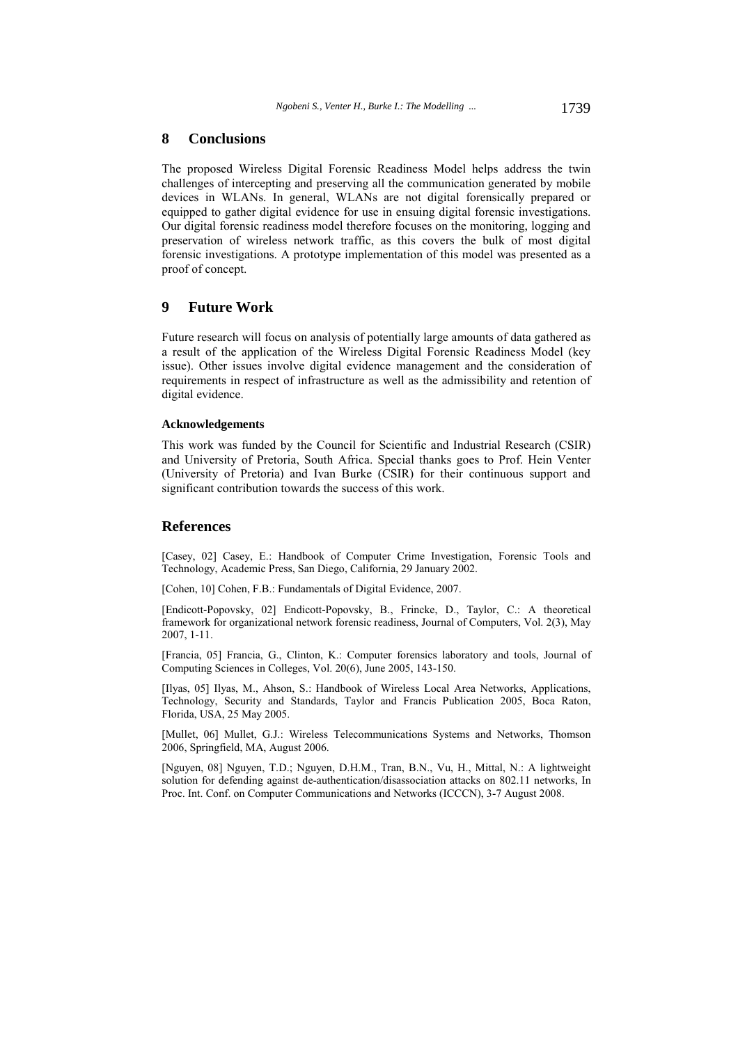#### **8 Conclusions**

The proposed Wireless Digital Forensic Readiness Model helps address the twin challenges of intercepting and preserving all the communication generated by mobile devices in WLANs. In general, WLANs are not digital forensically prepared or equipped to gather digital evidence for use in ensuing digital forensic investigations. Our digital forensic readiness model therefore focuses on the monitoring, logging and preservation of wireless network traffic, as this covers the bulk of most digital forensic investigations. A prototype implementation of this model was presented as a proof of concept.

# **9 Future Work**

Future research will focus on analysis of potentially large amounts of data gathered as a result of the application of the Wireless Digital Forensic Readiness Model (key issue). Other issues involve digital evidence management and the consideration of requirements in respect of infrastructure as well as the admissibility and retention of digital evidence.

#### **Acknowledgements**

This work was funded by the Council for Scientific and Industrial Research (CSIR) and University of Pretoria, South Africa. Special thanks goes to Prof. Hein Venter (University of Pretoria) and Ivan Burke (CSIR) for their continuous support and significant contribution towards the success of this work.

#### **References**

[Casey, 02] Casey, E.: Handbook of Computer Crime Investigation, Forensic Tools and Technology, Academic Press, San Diego, California, 29 January 2002.

[Cohen, 10] Cohen, F.B.: Fundamentals of Digital Evidence, 2007.

[Endicott-Popovsky, 02] Endicott-Popovsky, B., Frincke, D., Taylor, C.: A theoretical framework for organizational network forensic readiness, Journal of Computers, Vol. 2(3), May 2007, 1-11.

[Francia, 05] Francia, G., Clinton, K.: Computer forensics laboratory and tools, Journal of Computing Sciences in Colleges, Vol. 20(6), June 2005, 143-150.

[Ilyas, 05] Ilyas, M., Ahson, S.: Handbook of Wireless Local Area Networks, Applications, Technology, Security and Standards, Taylor and Francis Publication 2005, Boca Raton, Florida, USA, 25 May 2005.

[Mullet, 06] Mullet, G.J.: Wireless Telecommunications Systems and Networks, Thomson 2006, Springfield, MA, August 2006.

[Nguyen, 08] Nguyen, T.D.; Nguyen, D.H.M., Tran, B.N., Vu, H., Mittal, N.: A lightweight solution for defending against de-authentication/disassociation attacks on 802.11 networks, In Proc. Int. Conf. on Computer Communications and Networks (ICCCN), 3-7 August 2008.